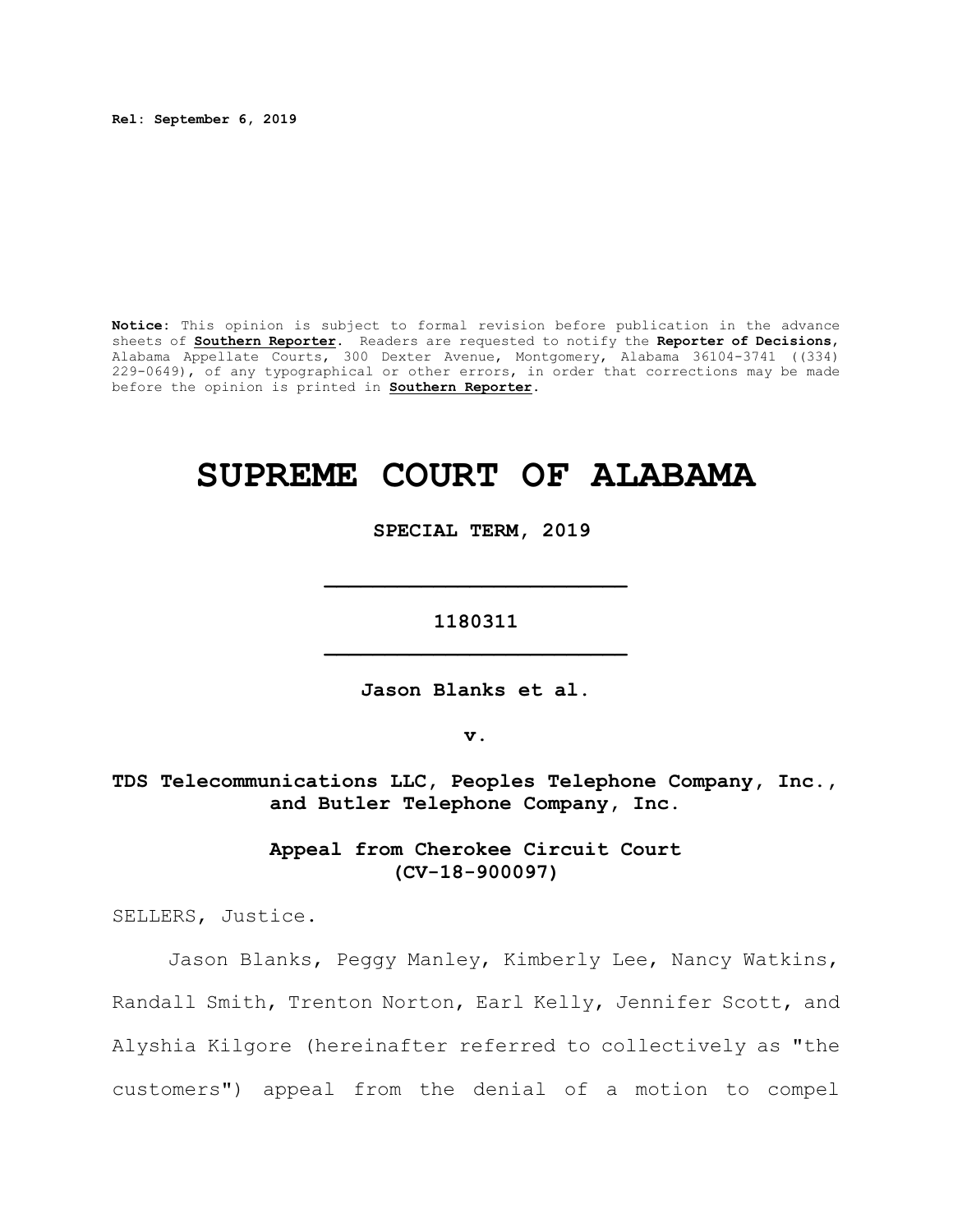**Rel: September 6, 2019**

**Notice:** This opinion is subject to formal revision before publication in the advance sheets of **Southern Reporter**. Readers are requested to notify the **Reporter of Decisions**, Alabama Appellate Courts, 300 Dexter Avenue, Montgomery, Alabama 36104-3741 ((334) 229-0649), of any typographical or other errors, in order that corrections may be made before the opinion is printed in **Southern Reporter**.

# **SUPREME COURT OF ALABAMA**

 **SPECIAL TERM, 2019**

**1180311 \_\_\_\_\_\_\_\_\_\_\_\_\_\_\_\_\_\_\_\_\_\_\_\_\_**

**\_\_\_\_\_\_\_\_\_\_\_\_\_\_\_\_\_\_\_\_\_\_\_\_\_**

**Jason Blanks et al.**

**v.**

**TDS Telecommunications LLC, Peoples Telephone Company, Inc., and Butler Telephone Company, Inc.**

> **Appeal from Cherokee Circuit Court (CV-18-900097)**

SELLERS, Justice.

Jason Blanks, Peggy Manley, Kimberly Lee, Nancy Watkins, Randall Smith, Trenton Norton, Earl Kelly, Jennifer Scott, and Alyshia Kilgore (hereinafter referred to collectively as "the customers") appeal from the denial of a motion to compel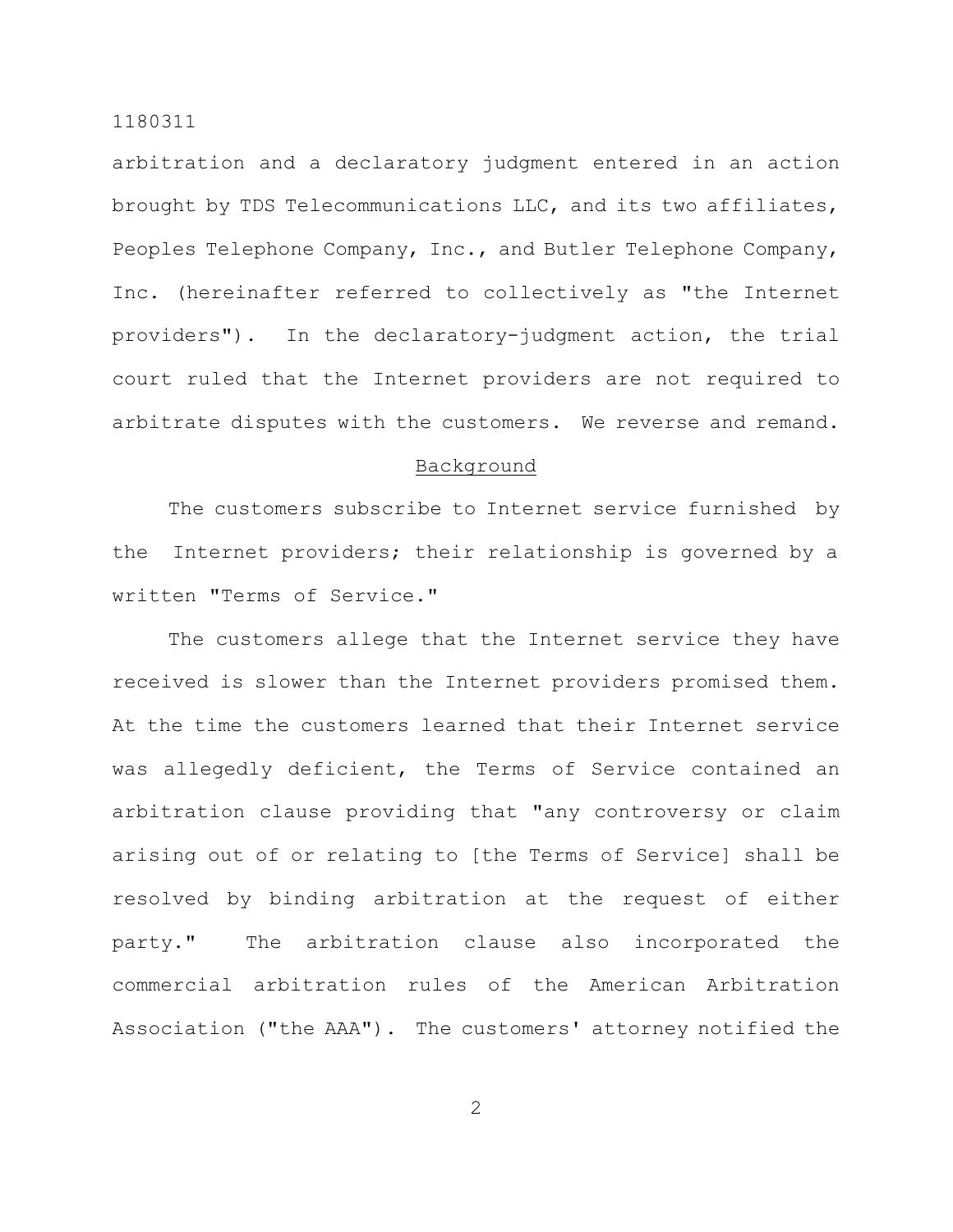arbitration and a declaratory judgment entered in an action brought by TDS Telecommunications LLC, and its two affiliates, Peoples Telephone Company, Inc., and Butler Telephone Company, Inc. (hereinafter referred to collectively as "the Internet providers"). In the declaratory-judgment action, the trial court ruled that the Internet providers are not required to arbitrate disputes with the customers. We reverse and remand.

# Background

The customers subscribe to Internet service furnished by the Internet providers; their relationship is governed by a written "Terms of Service."

The customers allege that the Internet service they have received is slower than the Internet providers promised them. At the time the customers learned that their Internet service was allegedly deficient, the Terms of Service contained an arbitration clause providing that "any controversy or claim arising out of or relating to [the Terms of Service] shall be resolved by binding arbitration at the request of either party." The arbitration clause also incorporated the commercial arbitration rules of the American Arbitration Association ("the AAA"). The customers' attorney notified the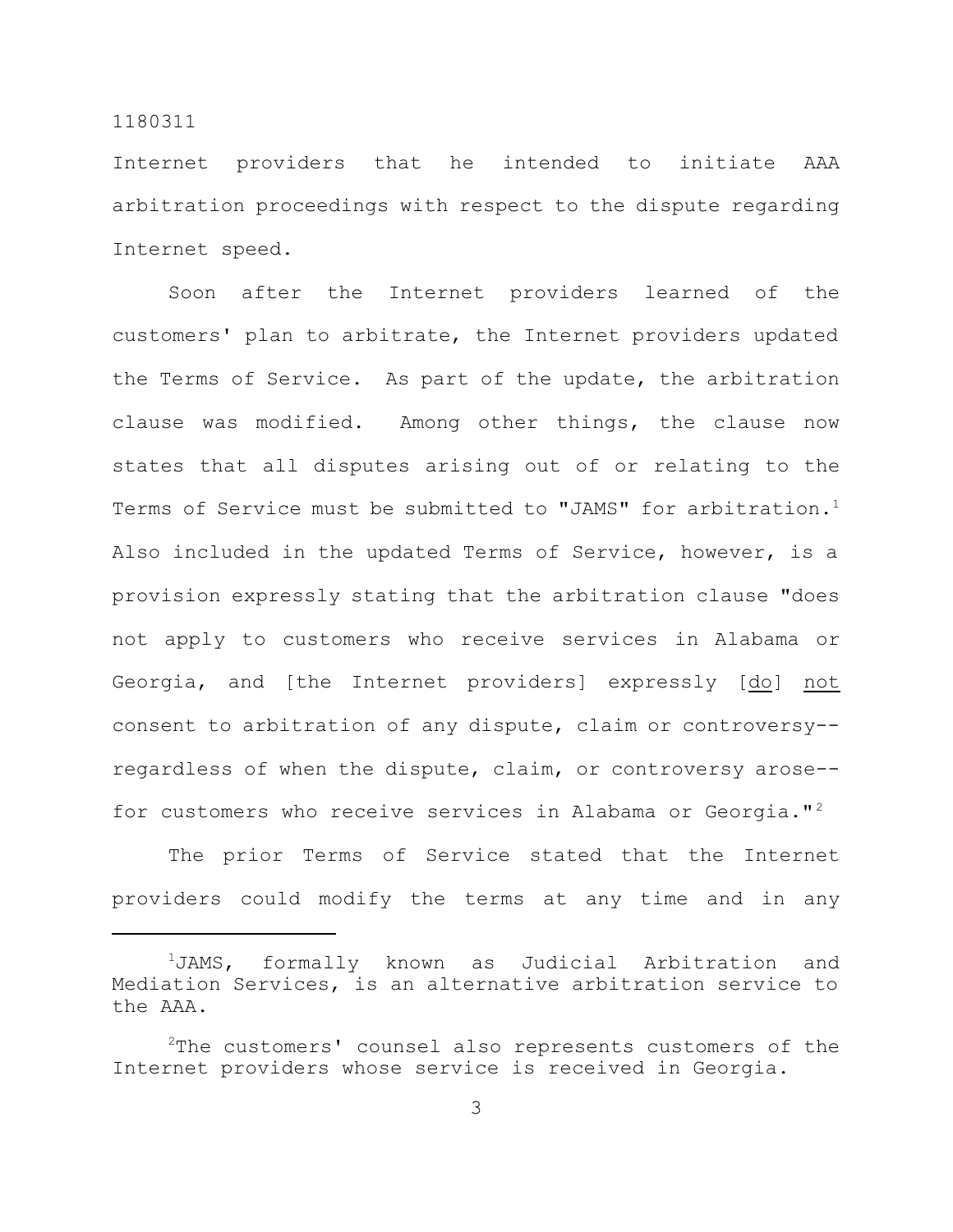Internet providers that he intended to initiate AAA arbitration proceedings with respect to the dispute regarding Internet speed.

Soon after the Internet providers learned of the customers' plan to arbitrate, the Internet providers updated the Terms of Service. As part of the update, the arbitration clause was modified. Among other things, the clause now states that all disputes arising out of or relating to the Terms of Service must be submitted to "JAMS" for arbitration.<sup>1</sup> Also included in the updated Terms of Service, however, is a provision expressly stating that the arbitration clause "does not apply to customers who receive services in Alabama or Georgia, and [the Internet providers] expressly [do] not consent to arbitration of any dispute, claim or controversy- regardless of when the dispute, claim, or controversy arose- for customers who receive services in Alabama or Georgia."<sup>2</sup>

The prior Terms of Service stated that the Internet providers could modify the terms at any time and in any

<sup>1</sup>JAMS, formally known as Judicial Arbitration and Mediation Services, is an alternative arbitration service to the AAA.

<sup>&</sup>lt;sup>2</sup>The customers' counsel also represents customers of the Internet providers whose service is received in Georgia.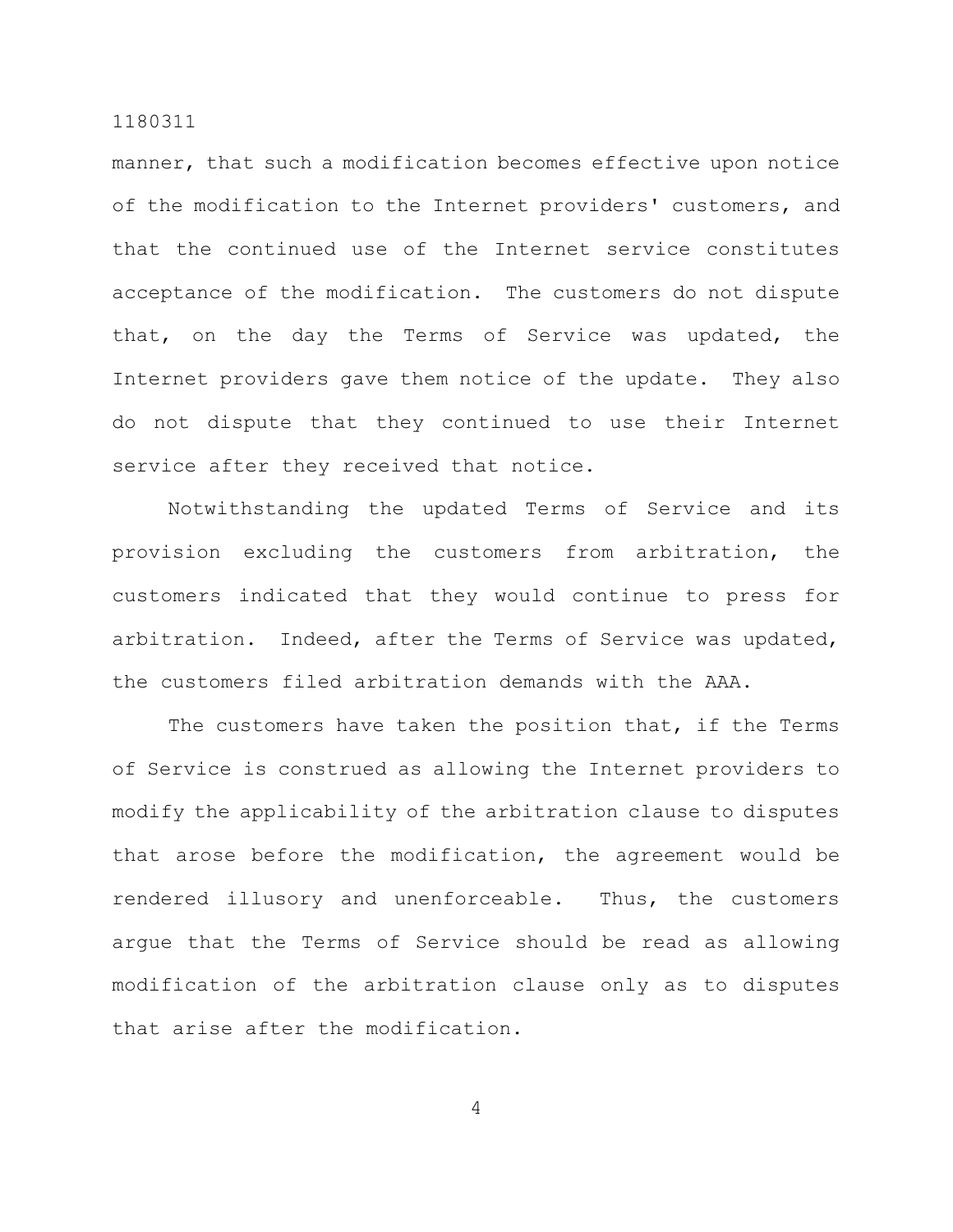manner, that such a modification becomes effective upon notice of the modification to the Internet providers' customers, and that the continued use of the Internet service constitutes acceptance of the modification. The customers do not dispute that, on the day the Terms of Service was updated, the Internet providers gave them notice of the update. They also do not dispute that they continued to use their Internet service after they received that notice.

Notwithstanding the updated Terms of Service and its provision excluding the customers from arbitration, the customers indicated that they would continue to press for arbitration. Indeed, after the Terms of Service was updated, the customers filed arbitration demands with the AAA.

The customers have taken the position that, if the Terms of Service is construed as allowing the Internet providers to modify the applicability of the arbitration clause to disputes that arose before the modification, the agreement would be rendered illusory and unenforceable. Thus, the customers argue that the Terms of Service should be read as allowing modification of the arbitration clause only as to disputes that arise after the modification.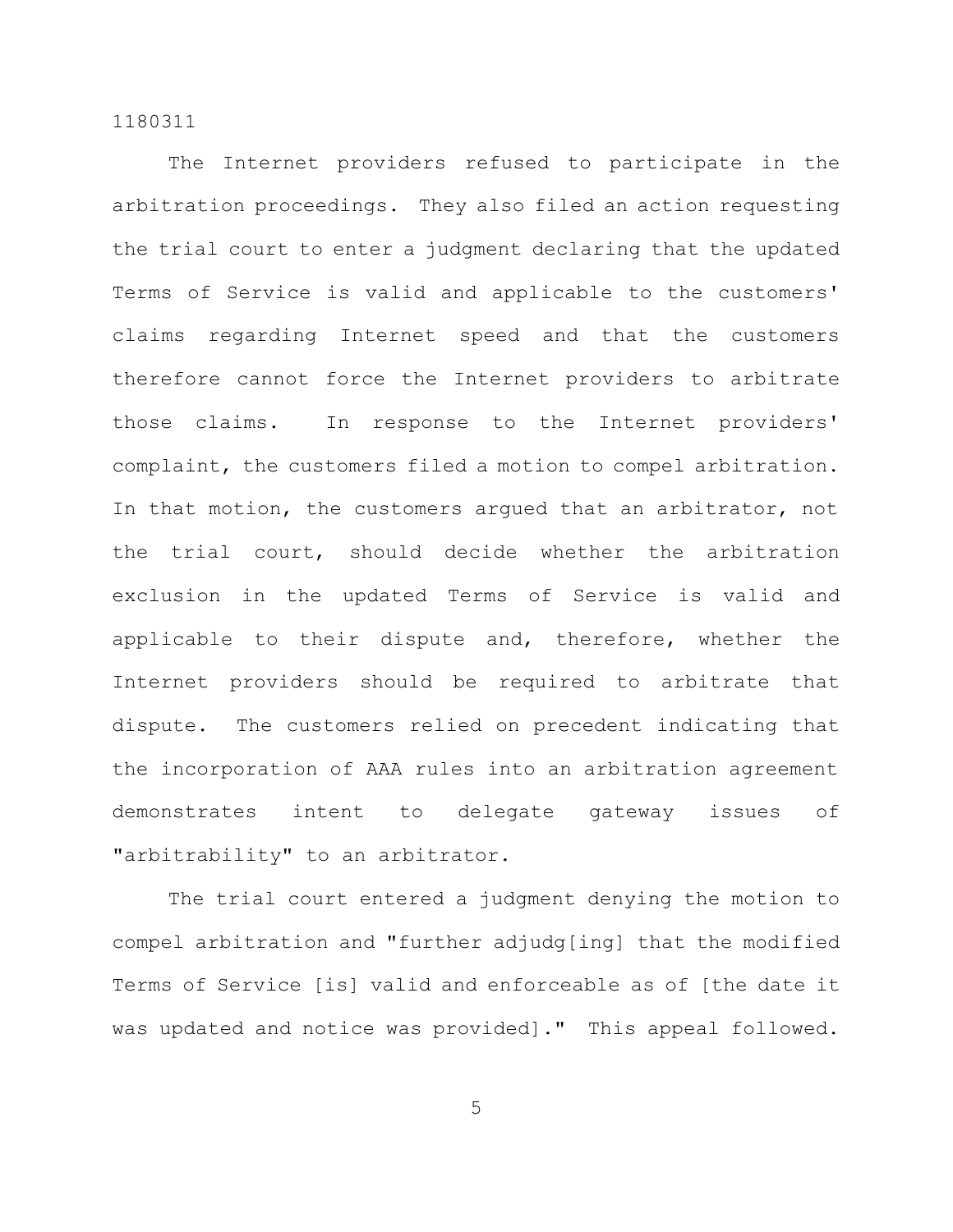The Internet providers refused to participate in the arbitration proceedings. They also filed an action requesting the trial court to enter a judgment declaring that the updated Terms of Service is valid and applicable to the customers' claims regarding Internet speed and that the customers therefore cannot force the Internet providers to arbitrate those claims. In response to the Internet providers' complaint, the customers filed a motion to compel arbitration. In that motion, the customers argued that an arbitrator, not the trial court, should decide whether the arbitration exclusion in the updated Terms of Service is valid and applicable to their dispute and, therefore, whether the Internet providers should be required to arbitrate that dispute. The customers relied on precedent indicating that the incorporation of AAA rules into an arbitration agreement demonstrates intent to delegate gateway issues of "arbitrability" to an arbitrator.

The trial court entered a judgment denying the motion to compel arbitration and "further adjudg[ing] that the modified Terms of Service [is] valid and enforceable as of [the date it was updated and notice was provided]." This appeal followed.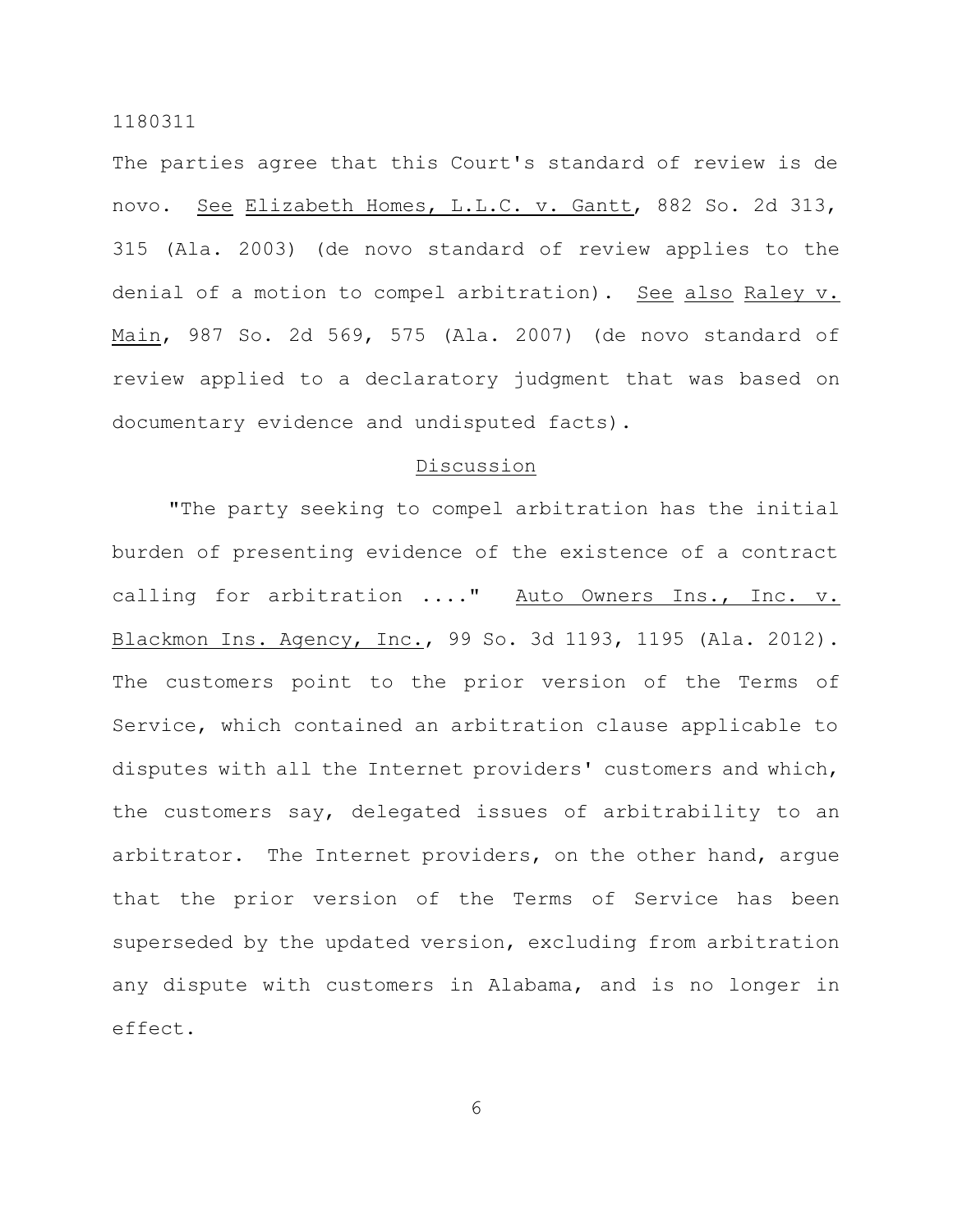The parties agree that this Court's standard of review is de novo. See Elizabeth Homes, L.L.C. v. Gantt, 882 So. 2d 313, 315 (Ala. 2003) (de novo standard of review applies to the denial of a motion to compel arbitration). See also Raley v. Main, 987 So. 2d 569, 575 (Ala. 2007) (de novo standard of review applied to a declaratory judgment that was based on documentary evidence and undisputed facts).

# Discussion

"The party seeking to compel arbitration has the initial burden of presenting evidence of the existence of a contract calling for arbitration ...." Auto Owners Ins., Inc. v. Blackmon Ins. Agency, Inc., 99 So. 3d 1193, 1195 (Ala. 2012). The customers point to the prior version of the Terms of Service, which contained an arbitration clause applicable to disputes with all the Internet providers' customers and which, the customers say, delegated issues of arbitrability to an arbitrator. The Internet providers, on the other hand, argue that the prior version of the Terms of Service has been superseded by the updated version, excluding from arbitration any dispute with customers in Alabama, and is no longer in effect.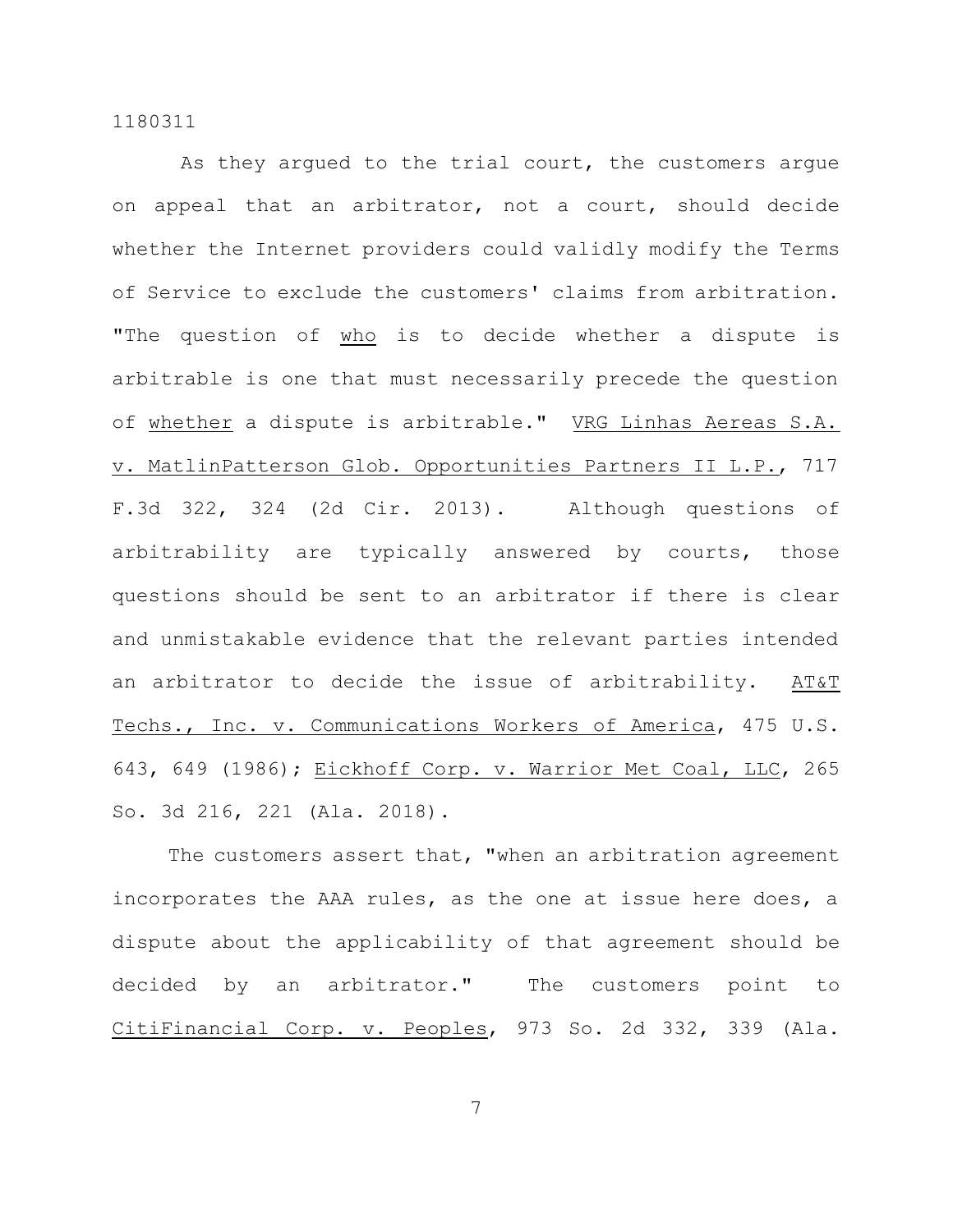As they argued to the trial court, the customers argue on appeal that an arbitrator, not a court, should decide whether the Internet providers could validly modify the Terms of Service to exclude the customers' claims from arbitration. "The question of who is to decide whether a dispute is arbitrable is one that must necessarily precede the question of whether a dispute is arbitrable." VRG Linhas Aereas S.A. v. MatlinPatterson Glob. Opportunities Partners II L.P., 717 F.3d 322, 324 (2d Cir. 2013). Although questions of arbitrability are typically answered by courts, those questions should be sent to an arbitrator if there is clear and unmistakable evidence that the relevant parties intended an arbitrator to decide the issue of arbitrability. AT&T Techs., Inc. v. Communications Workers of America, 475 U.S. 643, 649 (1986); Eickhoff Corp. v. Warrior Met Coal, LLC, 265 So. 3d 216, 221 (Ala. 2018).

The customers assert that, "when an arbitration agreement incorporates the AAA rules, as the one at issue here does, a dispute about the applicability of that agreement should be decided by an arbitrator." The customers point to CitiFinancial Corp. v. Peoples, 973 So. 2d 332, 339 (Ala.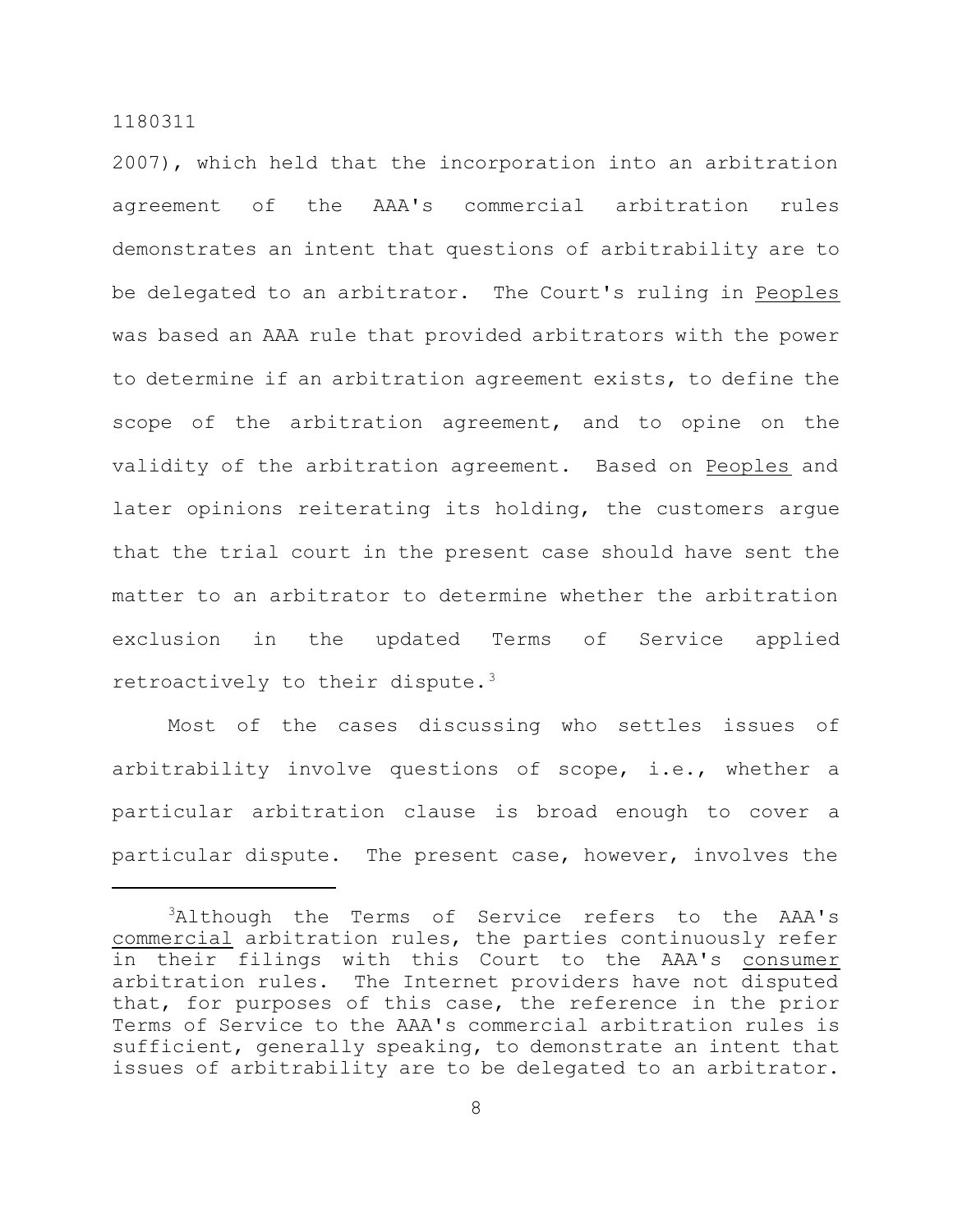2007), which held that the incorporation into an arbitration agreement of the AAA's commercial arbitration rules demonstrates an intent that questions of arbitrability are to be delegated to an arbitrator. The Court's ruling in Peoples was based an AAA rule that provided arbitrators with the power to determine if an arbitration agreement exists, to define the scope of the arbitration agreement, and to opine on the validity of the arbitration agreement. Based on Peoples and later opinions reiterating its holding, the customers argue that the trial court in the present case should have sent the matter to an arbitrator to determine whether the arbitration exclusion in the updated Terms of Service applied retroactively to their dispute. $3$ 

Most of the cases discussing who settles issues of arbitrability involve questions of scope, i.e., whether a particular arbitration clause is broad enough to cover a particular dispute. The present case, however, involves the

<sup>&</sup>lt;sup>3</sup>Although the Terms of Service refers to the AAA's commercial arbitration rules, the parties continuously refer in their filings with this Court to the AAA's consumer arbitration rules. The Internet providers have not disputed that, for purposes of this case, the reference in the prior Terms of Service to the AAA's commercial arbitration rules is sufficient, generally speaking, to demonstrate an intent that issues of arbitrability are to be delegated to an arbitrator.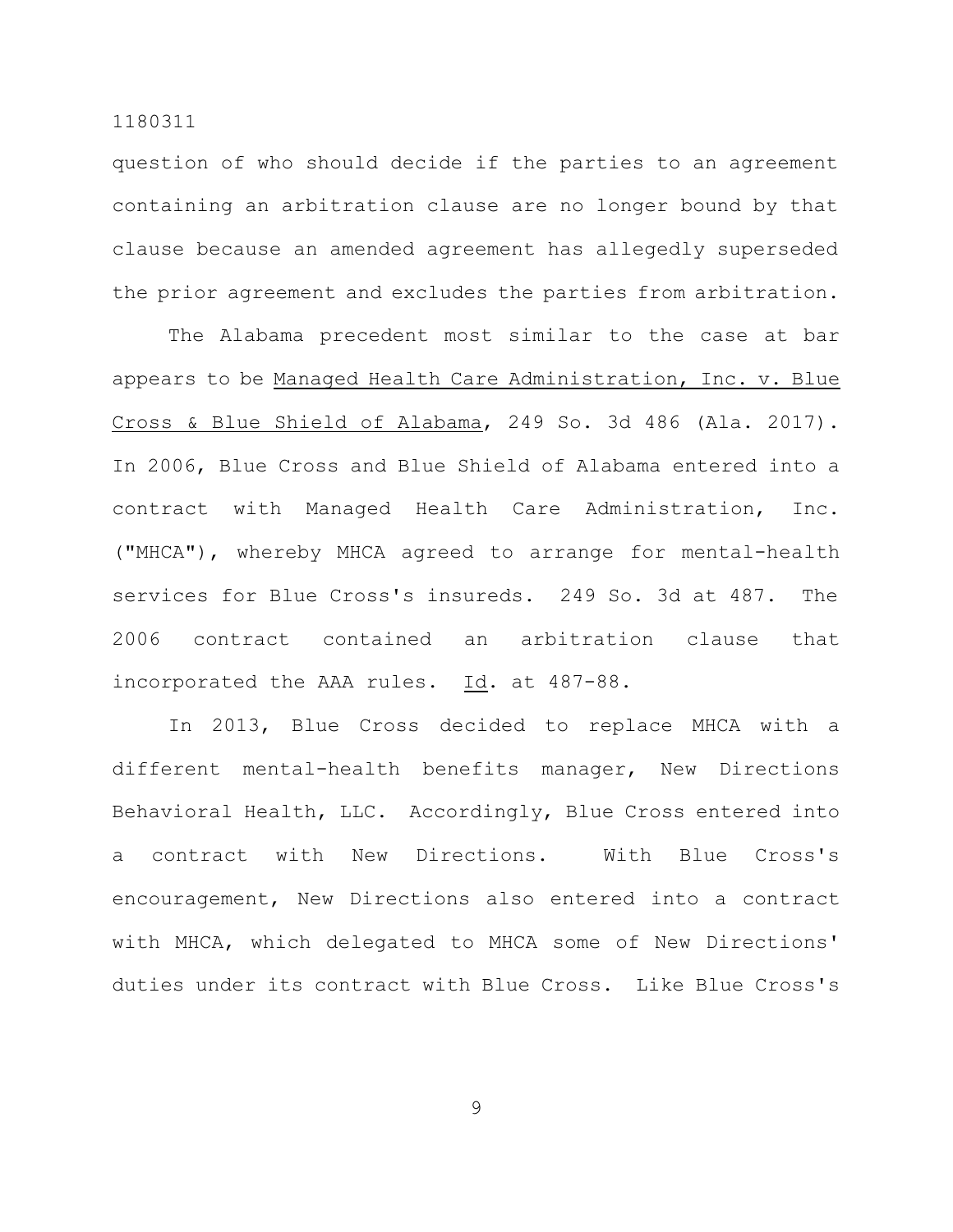question of who should decide if the parties to an agreement containing an arbitration clause are no longer bound by that clause because an amended agreement has allegedly superseded the prior agreement and excludes the parties from arbitration.

The Alabama precedent most similar to the case at bar appears to be Managed Health Care Administration, Inc. v. Blue Cross & Blue Shield of Alabama, 249 So. 3d 486 (Ala. 2017). In 2006, Blue Cross and Blue Shield of Alabama entered into a contract with Managed Health Care Administration, Inc. ("MHCA"), whereby MHCA agreed to arrange for mental-health services for Blue Cross's insureds. 249 So. 3d at 487. The 2006 contract contained an arbitration clause that incorporated the AAA rules. Id. at 487-88.

In 2013, Blue Cross decided to replace MHCA with a different mental-health benefits manager, New Directions Behavioral Health, LLC. Accordingly, Blue Cross entered into a contract with New Directions. With Blue Cross's encouragement, New Directions also entered into a contract with MHCA, which delegated to MHCA some of New Directions' duties under its contract with Blue Cross. Like Blue Cross's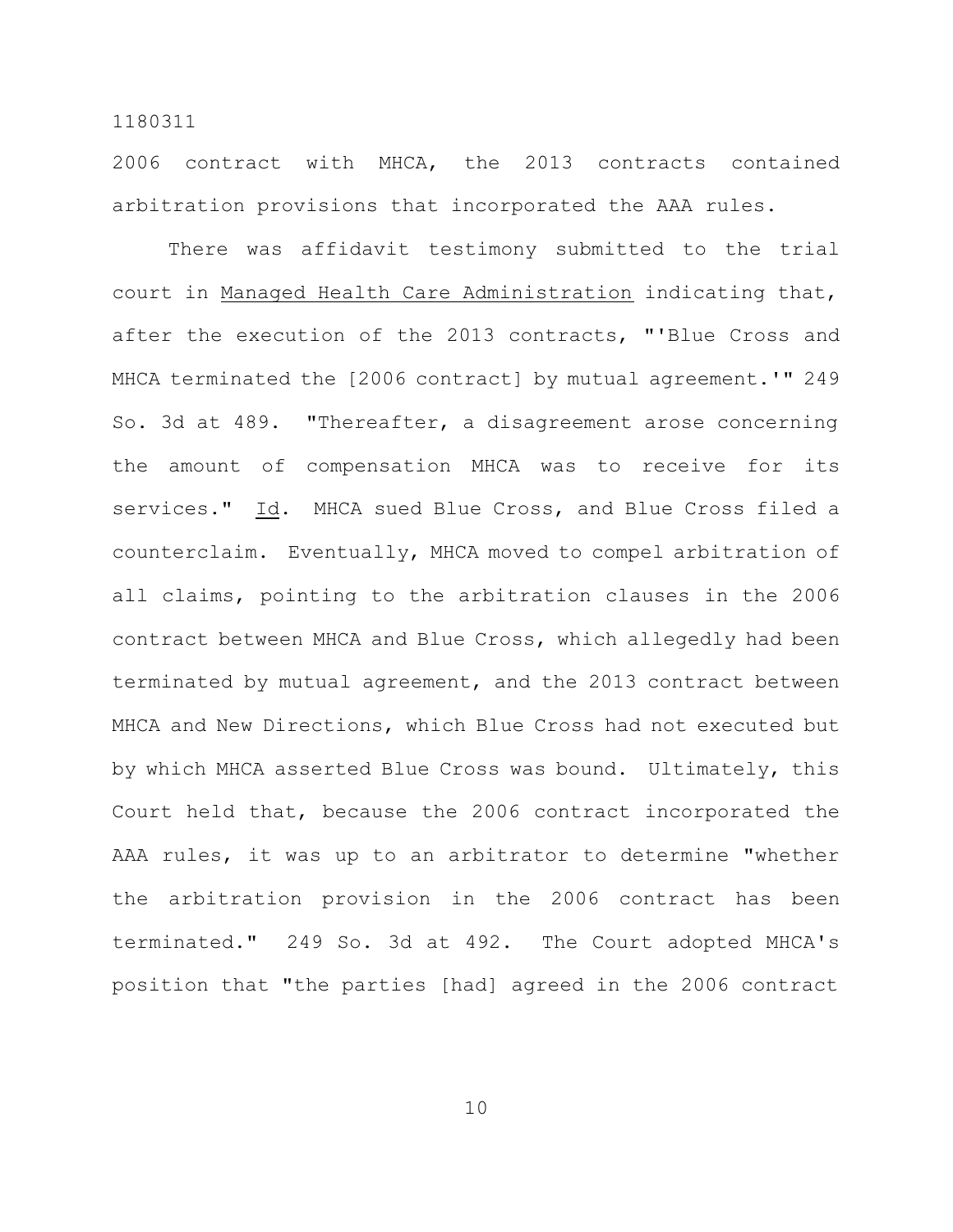2006 contract with MHCA, the 2013 contracts contained arbitration provisions that incorporated the AAA rules.

There was affidavit testimony submitted to the trial court in Managed Health Care Administration indicating that, after the execution of the 2013 contracts, "'Blue Cross and MHCA terminated the [2006 contract] by mutual agreement.'" 249 So. 3d at 489. "Thereafter, a disagreement arose concerning the amount of compensation MHCA was to receive for its services." Id. MHCA sued Blue Cross, and Blue Cross filed a counterclaim. Eventually, MHCA moved to compel arbitration of all claims, pointing to the arbitration clauses in the 2006 contract between MHCA and Blue Cross, which allegedly had been terminated by mutual agreement, and the 2013 contract between MHCA and New Directions, which Blue Cross had not executed but by which MHCA asserted Blue Cross was bound. Ultimately, this Court held that, because the 2006 contract incorporated the AAA rules, it was up to an arbitrator to determine "whether the arbitration provision in the 2006 contract has been terminated." 249 So. 3d at 492. The Court adopted MHCA's position that "the parties [had] agreed in the 2006 contract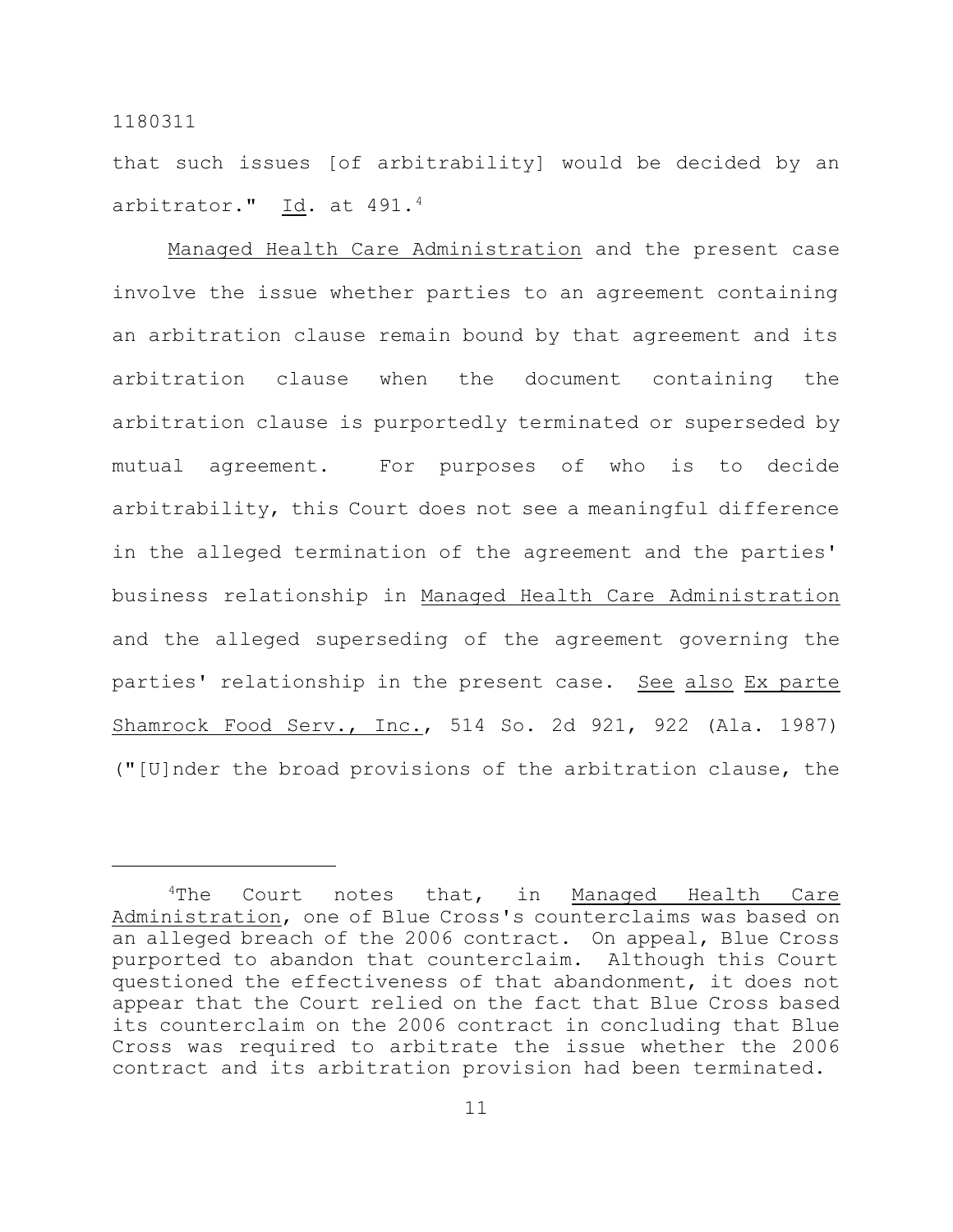that such issues [of arbitrability] would be decided by an arbitrator." Id. at 491.4

Managed Health Care Administration and the present case involve the issue whether parties to an agreement containing an arbitration clause remain bound by that agreement and its arbitration clause when the document containing the arbitration clause is purportedly terminated or superseded by mutual agreement. For purposes of who is to decide arbitrability, this Court does not see a meaningful difference in the alleged termination of the agreement and the parties' business relationship in Managed Health Care Administration and the alleged superseding of the agreement governing the parties' relationship in the present case. See also Ex parte Shamrock Food Serv., Inc., 514 So. 2d 921, 922 (Ala. 1987) ("[U]nder the broad provisions of the arbitration clause, the

 $4$ The Court notes that, in Managed Health Care Administration, one of Blue Cross's counterclaims was based on an alleged breach of the 2006 contract. On appeal, Blue Cross purported to abandon that counterclaim. Although this Court questioned the effectiveness of that abandonment, it does not appear that the Court relied on the fact that Blue Cross based its counterclaim on the 2006 contract in concluding that Blue Cross was required to arbitrate the issue whether the 2006 contract and its arbitration provision had been terminated.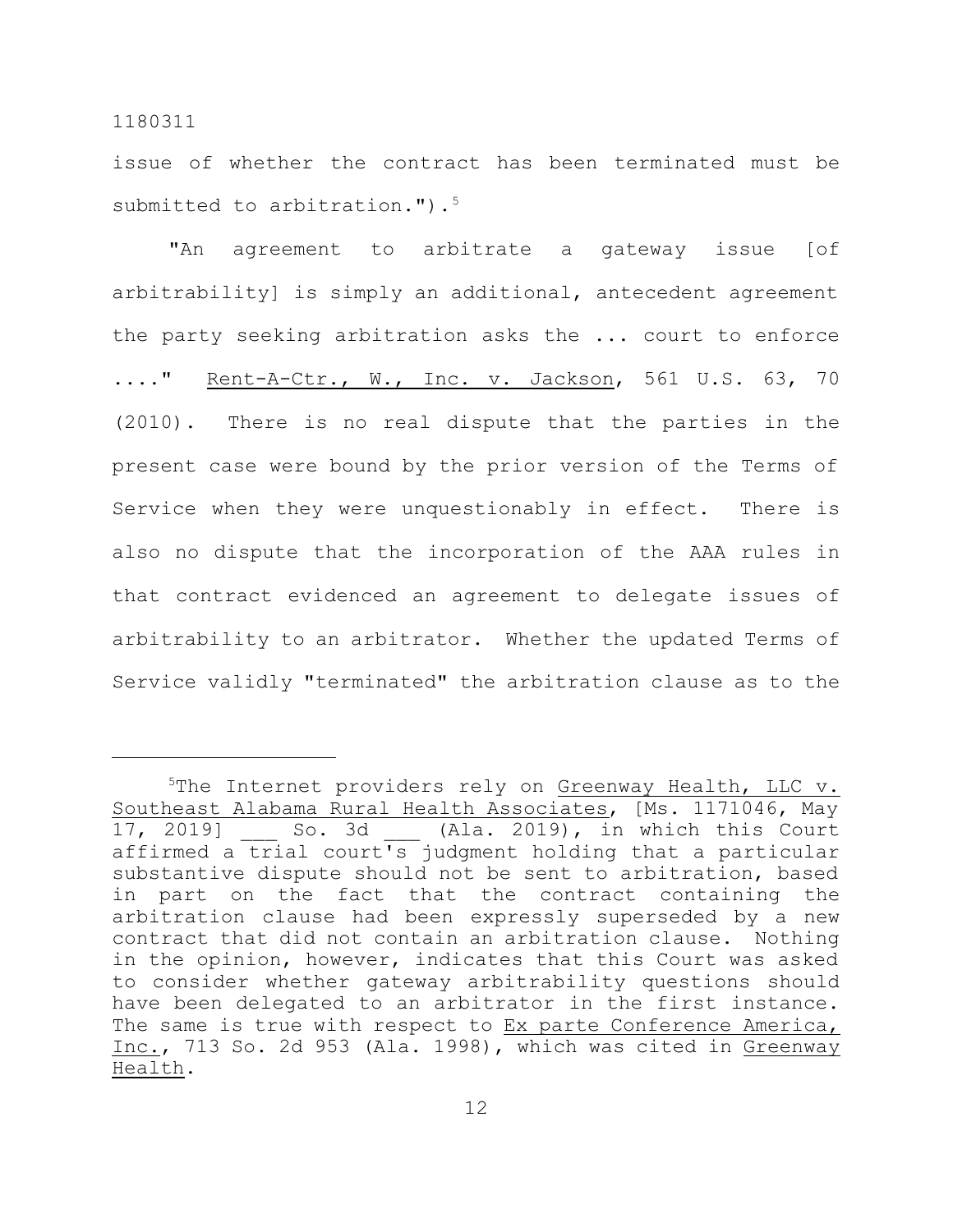issue of whether the contract has been terminated must be submitted to arbitration."). $5$ 

"An agreement to arbitrate a gateway issue [of arbitrability] is simply an additional, antecedent agreement the party seeking arbitration asks the ... court to enforce ...." Rent-A-Ctr., W., Inc. v. Jackson, 561 U.S. 63, 70 (2010). There is no real dispute that the parties in the present case were bound by the prior version of the Terms of Service when they were unquestionably in effect. There is also no dispute that the incorporation of the AAA rules in that contract evidenced an agreement to delegate issues of arbitrability to an arbitrator. Whether the updated Terms of Service validly "terminated" the arbitration clause as to the

<sup>&</sup>lt;sup>5</sup>The Internet providers rely on Greenway Health, LLC v. Southeast Alabama Rural Health Associates, [Ms. 1171046, May 17, 2019] So. 3d (Ala. 2019), in which this Court affirmed a trial court's judgment holding that a particular substantive dispute should not be sent to arbitration, based in part on the fact that the contract containing the arbitration clause had been expressly superseded by a new contract that did not contain an arbitration clause. Nothing in the opinion, however, indicates that this Court was asked to consider whether gateway arbitrability questions should have been delegated to an arbitrator in the first instance. The same is true with respect to Ex parte Conference America, Inc., 713 So. 2d 953 (Ala. 1998), which was cited in Greenway Health.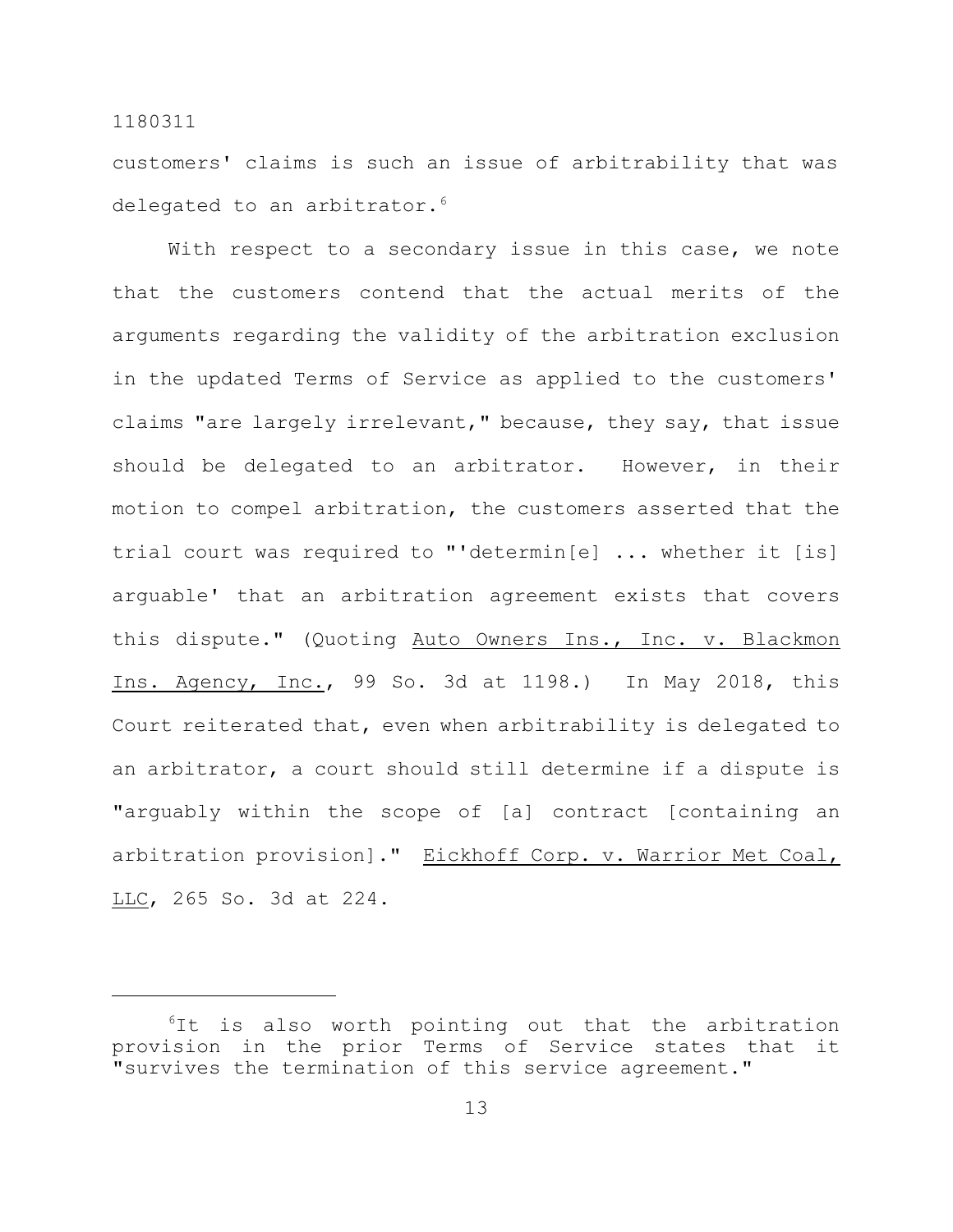customers' claims is such an issue of arbitrability that was delegated to an arbitrator.<sup>6</sup>

With respect to a secondary issue in this case, we note that the customers contend that the actual merits of the arguments regarding the validity of the arbitration exclusion in the updated Terms of Service as applied to the customers' claims "are largely irrelevant," because, they say, that issue should be delegated to an arbitrator. However, in their motion to compel arbitration, the customers asserted that the trial court was required to "'determin[e] ... whether it [is] arguable' that an arbitration agreement exists that covers this dispute." (Quoting Auto Owners Ins., Inc. v. Blackmon Ins. Agency, Inc., 99 So. 3d at 1198.) In May 2018, this Court reiterated that, even when arbitrability is delegated to an arbitrator, a court should still determine if a dispute is "arguably within the scope of [a] contract [containing an arbitration provision]." Eickhoff Corp. v. Warrior Met Coal, LLC, 265 So. 3d at 224.

<sup>&</sup>lt;sup>6</sup>It is also worth pointing out that the arbitration provision in the prior Terms of Service states that it "survives the termination of this service agreement."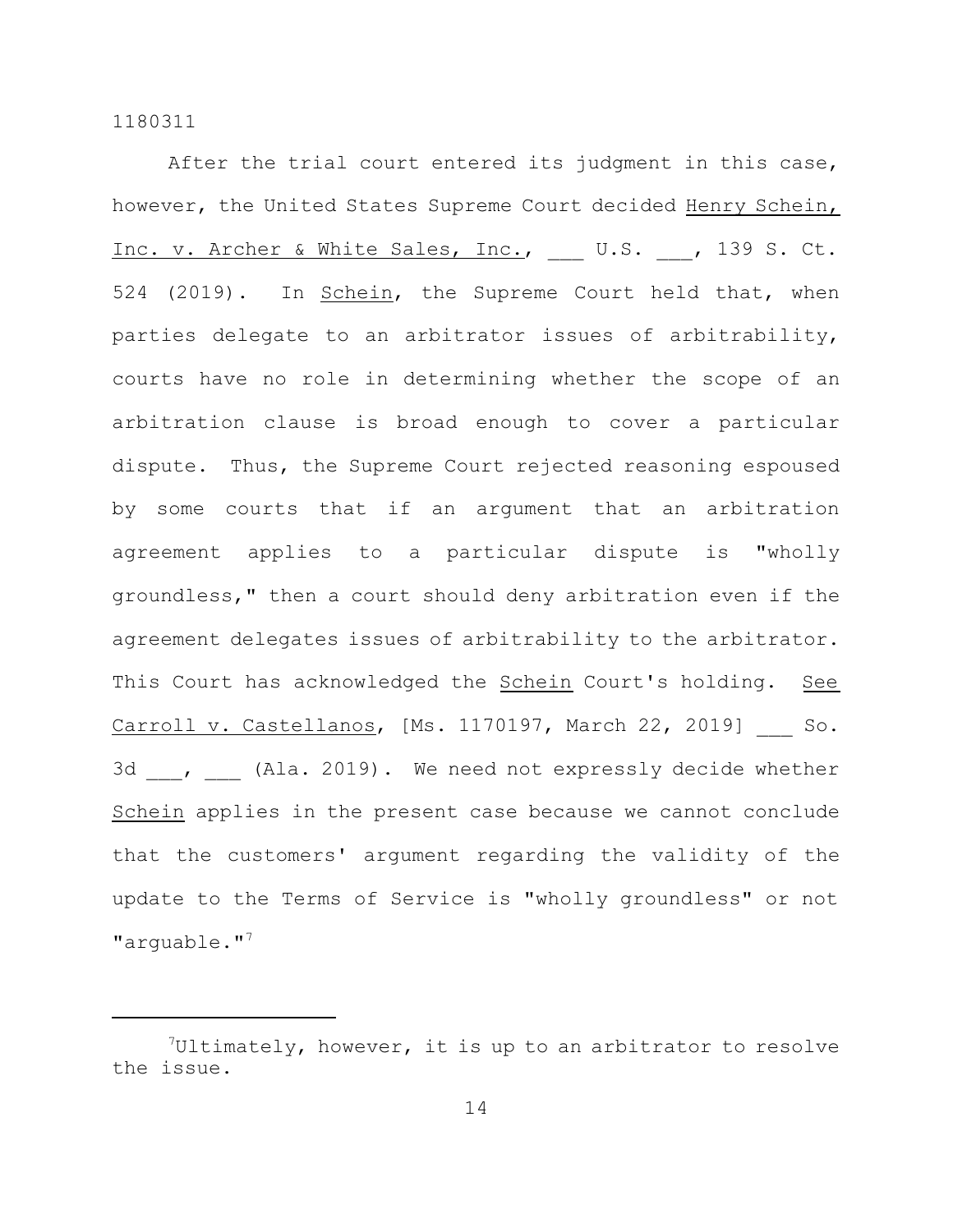After the trial court entered its judgment in this case, however, the United States Supreme Court decided Henry Schein, Inc. v. Archer & White Sales, Inc., \_\_\_ U.S. \_\_, 139 S. Ct. 524 (2019). In Schein, the Supreme Court held that, when parties delegate to an arbitrator issues of arbitrability, courts have no role in determining whether the scope of an arbitration clause is broad enough to cover a particular dispute. Thus, the Supreme Court rejected reasoning espoused by some courts that if an argument that an arbitration agreement applies to a particular dispute is "wholly groundless," then a court should deny arbitration even if the agreement delegates issues of arbitrability to the arbitrator. This Court has acknowledged the Schein Court's holding. See Carroll v. Castellanos, [Ms. 1170197, March 22, 2019] So. 3d , (Ala. 2019). We need not expressly decide whether Schein applies in the present case because we cannot conclude that the customers' argument regarding the validity of the update to the Terms of Service is "wholly groundless" or not "arquable."<sup>7</sup>

 $7$ Ultimately, however, it is up to an arbitrator to resolve the issue.